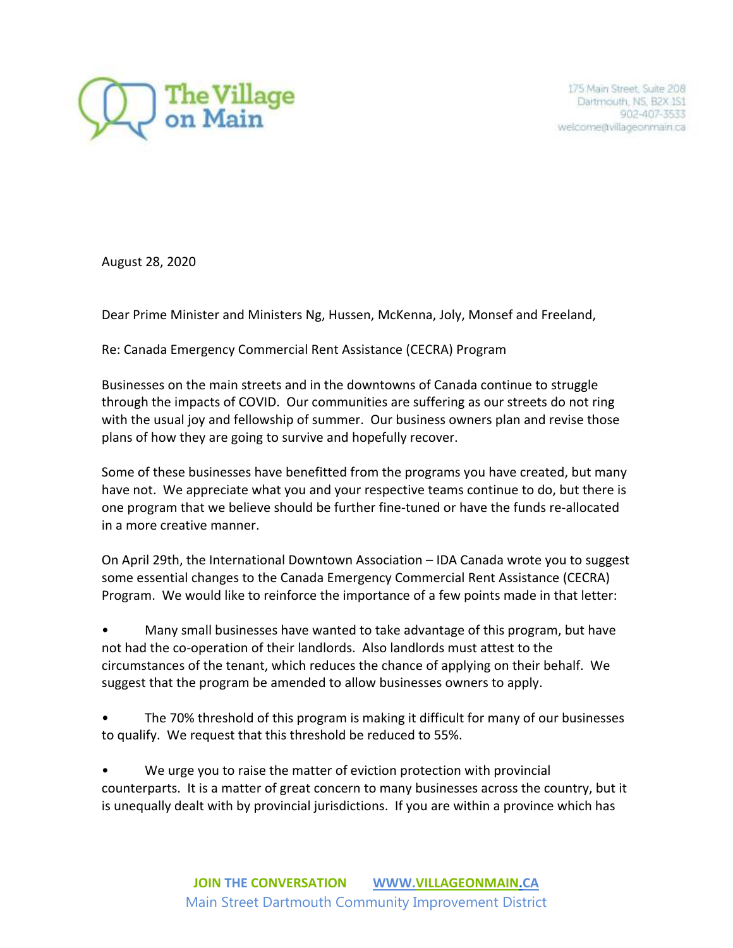

175 Main Street, Suite 208 Dartmouth, NS, B2X 1S1 902-407-3533 welcome@villageonmain.ca

August 28, 2020

Dear Prime Minister and Ministers Ng, Hussen, McKenna, Joly, Monsef and Freeland,

Re: Canada Emergency Commercial Rent Assistance (CECRA) Program

Businesses on the main streets and in the downtowns of Canada continue to struggle through the impacts of COVID. Our communities are suffering as our streets do not ring with the usual joy and fellowship of summer. Our business owners plan and revise those plans of how they are going to survive and hopefully recover.

Some of these businesses have benefitted from the programs you have created, but many have not. We appreciate what you and your respective teams continue to do, but there is one program that we believe should be further fine-tuned or have the funds re-allocated in a more creative manner.

On April 29th, the International Downtown Association – IDA Canada wrote you to suggest some essential changes to the Canada Emergency Commercial Rent Assistance (CECRA) Program. We would like to reinforce the importance of a few points made in that letter:

• Many small businesses have wanted to take advantage of this program, but have not had the co-operation of their landlords. Also landlords must attest to the circumstances of the tenant, which reduces the chance of applying on their behalf. We suggest that the program be amended to allow businesses owners to apply.

• The 70% threshold of this program is making it difficult for many of our businesses to qualify. We request that this threshold be reduced to 55%.

We urge you to raise the matter of eviction protection with provincial counterparts. It is a matter of great concern to many businesses across the country, but it is unequally dealt with by provincial jurisdictions. If you are within a province which has